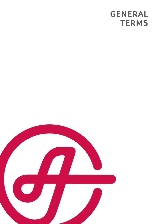# **GENERAL TERMS**

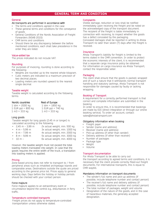# **GENERAL TERM AND CONDITION**

#### General

#### All transports are performed in accordance with

- The terms and conditions agreed in the case
- These general terms and conditions for the conveyance of goods
- General Conditions of the Nordic Association of Freight Forwarders (NSAB 2015)
- CMR terms and conditions
- Should there be any discrepancy between the before mentioned conditions, each shall take precedence in the order they are listed.

#### Value-added tax

The prices indicated do not include VAT.

## Rounding

For purposes of invoicing, rounding is done according to the following:

- Weights are rounded up to the nearest whole kilogram.
- Cubic meters are indicated to a maximum precision of two decimal places.
- Loading meters are rounded upward to the nearest single decimal

## Taxable weight

Taxable weight is calculated according to the following terms:

| Nordic countries   | Rest of Europe       |
|--------------------|----------------------|
| 1 ldm = 2000 kg    | $1$ ldm = 1850 kg    |
| 1 EUR ppl = 800 kg | 1 EUR $ppl = 740$ kg |
| 1 m3 = 333 kg      | $1 m3 = 333 kg$      |

## Long goods

Taxable weight for long goods (2.45 m or longer) is calculated according to the following

- $2,45$  m 3,99 m 2x actual weight, min. 500 kg<br>4 m 5,99 m 3x actual weight, min. 1000 kg
- 4 m 5,99 m 3x actual weight, min. 1000 kg
- 4x actual weight, min. 2000 kg
- 8 m 9,99 m 5x actual weight, min. 3000 kg
- 10 m 6x actual weight, min. 4000 kg

However, the taxable weight must not exceed the total loading meters translated into weight. In case that the goods requires the entire width of the truck, a translation into loading meters is applied.

#### Pricing

Zone-based pricing does not refer to transport to / from peripheral areas such as inhabited archipelago islands and comparable areas. Destinations outside the quote are priced according to the general price list. Prices apply to general working days. Days before the holiday or holiday periods should be checked with your contact person.

#### Force majeure

Force majeure applies to an extraordinary event or circumstance beyond the control e.g., disturbances in ferry traffic.

#### Temperature controlled transports

Freight prices do not apply to temperature-controlled transportation unless otherwise stated.

## **Complaints**

Visible damage, reduction or loss shall be notified immediately upon receiving the freight and be noted on the acknowledged copy of the transport document. The recipient of the freight is liable immediately in connection with receiving, to inspect whether the goods has a defect concealed by the packaging. Concealed damages shall be reported in writing to Ahola Transport no later than seven (7) days after the freight is received.

## **Insurance**

Ahola Transport's liability for freight is limited to the terms stated in the CMR convention. In order to protect the economic interests of the client, it is recommended that a separate cargo insurance policy be obtained. For information on cargo insurance via Ahola Transport, contact the responsible seller.

## **Packaging**

The client shall ensure that the goods is packed, wrapped and of such a nature that it withstands normal transport handling and statutory lashings. Ahola Transport is not responsible for damages caused by faulty or lacking wrapping.

## Booking of Transport

A requirement for a correctly performed transport is that correct and complete information are submitted in the booking.

In order to ensure this, it is recommended that bookings are made by EDI (direct integration or through our online booking service). To order an account, contact: sales@aholatransport.com

## Obligatory information when booking-

- Freight payer
- Sender (name and address)
- Receiver (name and address)<br>• Pick-un address (if other than
- Pick-up address (if other than sender)
- Delivery address (if other than receiver)
- Number of packages
- Package type
- Weight
- Volume

## Transport documentation

For Ahola Transport to be able to carry out the transport according to agreed terms and conditions, it is necessary that the client provide correctly filled-out freight documents. For international transports, this is equal to CMR waybill.

## Mandatory information on transport documents:

- The sender's full name and pick-up address (if possible, include telephone number and contact person)
- The receiver's full name and delivery address (if possible, include telephone number and contact person)
- The total number of packages, weight and volume
- Designation of the nature of the goods, and in the case of hazardous materials, the generally accepted designation.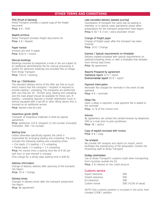# **OTHER TERMS AND CONDITIONS**

## POD (Proof of Delivery)

Ahola Transport provides a signed copy of the freight document. Price:  $R \notin \mathcal{P}$  POD-

## Waybill printout

Ahola Transport provides freight documents for **Price:**  $4 \in /$  Waybill

## Paper invoice

Invoices are sent in paper Price:  $6.50 \leq /$  invoice

## Manual bookings-

Bookings received by telephone, e-mail or fax are subject to an additional administrative fee for manual processing. A system for electronic bookings are provided free of charge from Ahola Transport.

Price:  $7.50 \text{ } \in /$  booking

## Pick up / Distribution-

The standard delivery terms of the offer are free on truck, which means that the consignor / recipient is required to provide loading / unloading. The transports are performed with cars that are 19 - 25.25m long, loading and unloading and the road ahead should be available for these cars. If loading / unloading requires a smaller distribution truck or vehicle equipped with a tail lift or other lifting device, this is invoiced as an additional service.

Price: Agreed case-by-case

## Hazardous goods (ADR)

Transport of hazardous materials is done by special agreement.

Price: Additional 110 € /dispatch (1 UN-number Included) Thereafter,  $35 \in /$  Un-number

## Waiting time

Unless otherwise specifically agreed, the client is responsible for arranging loading and unloading. The price includes the following loading and unloading times:

• Full loads: 2 h loading + 2 h unloading

• Partial loads: 1 h loading + 1 h unloading

**Price:** For excess time, a waiting time fee of  $\epsilon$  40 perhalf hour or part thereof is charged.

(The charge for a whole days waiting time is 640 €)

## Address information

Change of delivery address after planning of the transport has begun.

Price: 15  $\in$  / Change

## Delivery times

Changes in delivery times after the transport assignment has begun.

Price: By agreement

#### Late cancelled delivery (wasted journey)

Cancellation of transport the same day as loading is intended, or in special cases (peripheral areas) when preparations for the transport assignment have begun **Price:** € 50 + € 2 km / extra kilometer driven-

#### Change of freight payer-

Change of freight payer after the transport has been invoiced. Price: 15  $\in$  / Change-

#### Express / Special requirements on timetable-

Delivery loaded/unloaded with special requirements on loading/unloading times, or with a timetable that deviates from normal lead times. Price: By agreement

## Reports Prepared by agreement-

Statistical report  $12 \notin /$  report-**Environmental report** 25  $\epsilon$  / report-

#### Payment interruption

Reminder fee charged for reminder in the event of late payment. **Price**:  $8 \notin /$  reminder

#### Delay Fee

Upon a delay in payment, a late payment fee is added to the reminder Price: 11 % of the invoice sum-

## Advices

By agreement, we contact the sender/receiver by telephone, SMS or e-mail prior to pick-up/delivery Price:  $4 \in /$  advice

# Copy of waybill enclosed with invoice

Price:  $8 \notin / \text{Conv}$ 

## Tax analysis

We provide VAT analysis and report on import, which facilitates the maintenance of the declaration. Contact the forwarding staff at Ahola Transport.

## Outlay commission-

Use of Ahola Transport's customs credit when transporting from countries outside the EU. Price: 5 % interest on the credit amount-

## Customs service

| 55f                  |
|----------------------|
| 55f                  |
| 50€                  |
| 50€ (+0,3% of value) |
|                      |

NOTE! One customs position is included in the price, then charged 2,50€ / position